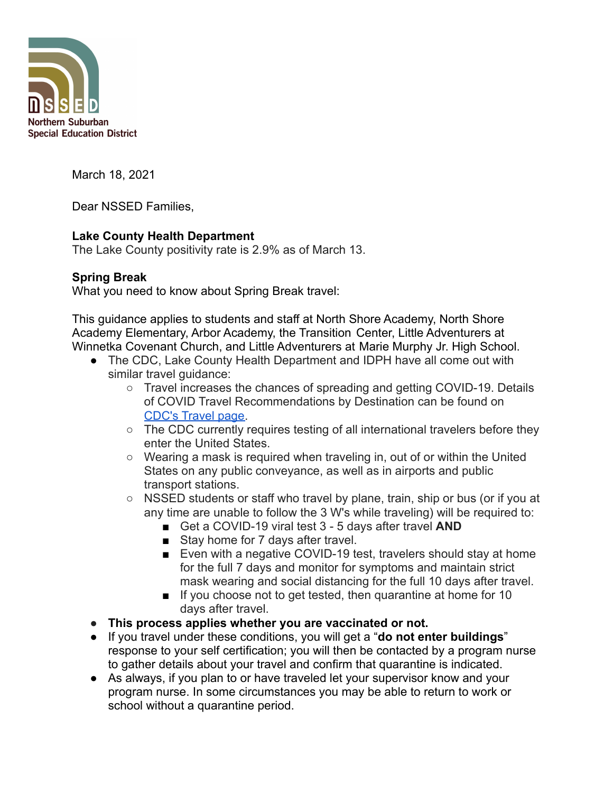

March 18, 2021

Dear NSSED Families,

## **Lake County Health Department**

The Lake County positivity rate is 2.9% as of March 13.

## **Spring Break**

What you need to know about Spring Break travel:

This guidance applies to students and staff at North Shore Academy, North Shore Academy Elementary, Arbor Academy, the Transition Center, Little Adventurers at Winnetka Covenant Church, and Little Adventurers at Marie Murphy Jr. High School.

- The CDC, Lake County Health Department and IDPH have all come out with similar travel guidance:
	- $\circ$  Travel increases the chances of spreading and getting COVID-19. Details of COVID Travel Recommendations by Destination can be found on [CDC's Travel page.](https://www.cdc.gov/coronavirus/2019-ncov/travelers/index.html)
	- The CDC currently requires testing of all international travelers before they enter the United States.
	- Wearing a mask is required when traveling in, out of or within the United States on any public conveyance, as well as in airports and public transport stations.
	- NSSED students or staff who travel by plane, train, ship or bus (or if you at any time are unable to follow the 3 W's while traveling) will be required to:
		- Get a COVID-19 viral test 3 5 days after travel **AND**
		- Stay home for 7 days after travel.
		- Even with a negative COVID-19 test, travelers should stay at home for the full 7 days and monitor for symptoms and maintain strict mask wearing and social distancing for the full 10 days after travel.
		- If you choose not to get tested, then quarantine at home for 10 days after travel.
- **● This process applies whether you are vaccinated or not.**
- If you travel under these conditions, you will get a "**do not enter buildings**" response to your self certification; you will then be contacted by a program nurse to gather details about your travel and confirm that quarantine is indicated.
- As always, if you plan to or have traveled let your supervisor know and your program nurse. In some circumstances you may be able to return to work or school without a quarantine period.